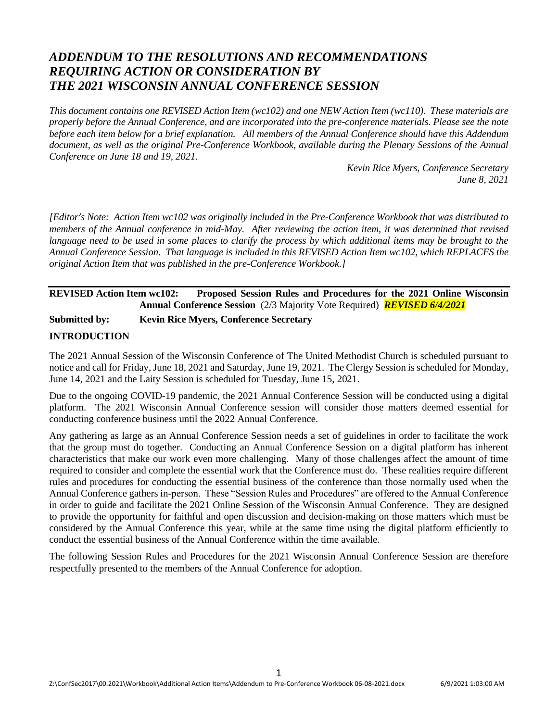# *ADDENDUM TO THE RESOLUTIONS AND RECOMMENDATIONS REQUIRING ACTION OR CONSIDERATION BY THE 2021 WISCONSIN ANNUAL CONFERENCE SESSION*

*This document contains one REVISED Action Item (wc102) and one NEW Action Item (wc110). These materials are properly before the Annual Conference, and are incorporated into the pre-conference materials. Please see the note before each item below for a brief explanation. All members of the Annual Conference should have this Addendum document, as well as the original Pre-Conference Workbook, available during the Plenary Sessions of the Annual Conference on June 18 and 19, 2021.*

> *Kevin Rice Myers, Conference Secretary June 8, 2021*

*[Editor's Note: Action Item wc102 was originally included in the Pre-Conference Workbook that was distributed to members of the Annual conference in mid-May. After reviewing the action item, it was determined that revised*  language need to be used in some places to clarify the process by which additional items may be brought to the *Annual Conference Session. That language is included in this REVISED Action Item wc102, which REPLACES the original Action Item that was published in the pre-Conference Workbook.]*

## **REVISED Action Item wc102: Proposed Session Rules and Procedures for the 2021 Online Wisconsin Annual Conference Session** (2/3 Majority Vote Required) *REVISED 6/4/2021*

**Submitted by: Kevin Rice Myers, Conference Secretary**

# **INTRODUCTION**

The 2021 Annual Session of the Wisconsin Conference of The United Methodist Church is scheduled pursuant to notice and call for Friday, June 18, 2021 and Saturday, June 19, 2021. The Clergy Session is scheduled for Monday, June 14, 2021 and the Laity Session is scheduled for Tuesday, June 15, 2021.

Due to the ongoing COVID-19 pandemic, the 2021 Annual Conference Session will be conducted using a digital platform. The 2021 Wisconsin Annual Conference session will consider those matters deemed essential for conducting conference business until the 2022 Annual Conference.

Any gathering as large as an Annual Conference Session needs a set of guidelines in order to facilitate the work that the group must do together. Conducting an Annual Conference Session on a digital platform has inherent characteristics that make our work even more challenging. Many of those challenges affect the amount of time required to consider and complete the essential work that the Conference must do. These realities require different rules and procedures for conducting the essential business of the conference than those normally used when the Annual Conference gathers in-person. These "Session Rules and Procedures" are offered to the Annual Conference in order to guide and facilitate the 2021 Online Session of the Wisconsin Annual Conference. They are designed to provide the opportunity for faithful and open discussion and decision-making on those matters which must be considered by the Annual Conference this year, while at the same time using the digital platform efficiently to conduct the essential business of the Annual Conference within the time available.

The following Session Rules and Procedures for the 2021 Wisconsin Annual Conference Session are therefore respectfully presented to the members of the Annual Conference for adoption.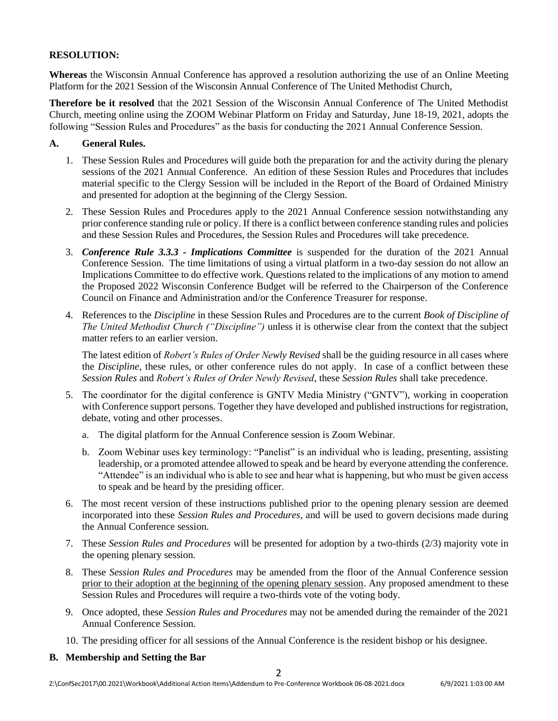# **RESOLUTION:**

**Whereas** the Wisconsin Annual Conference has approved a resolution authorizing the use of an Online Meeting Platform for the 2021 Session of the Wisconsin Annual Conference of The United Methodist Church,

**Therefore be it resolved** that the 2021 Session of the Wisconsin Annual Conference of The United Methodist Church, meeting online using the ZOOM Webinar Platform on Friday and Saturday, June 18-19, 2021, adopts the following "Session Rules and Procedures" as the basis for conducting the 2021 Annual Conference Session.

#### **A. General Rules.**

- 1. These Session Rules and Procedures will guide both the preparation for and the activity during the plenary sessions of the 2021 Annual Conference. An edition of these Session Rules and Procedures that includes material specific to the Clergy Session will be included in the Report of the Board of Ordained Ministry and presented for adoption at the beginning of the Clergy Session.
- 2. These Session Rules and Procedures apply to the 2021 Annual Conference session notwithstanding any prior conference standing rule or policy. If there is a conflict between conference standing rules and policies and these Session Rules and Procedures, the Session Rules and Procedures will take precedence.
- 3. *Conference Rule 3.3.3 - Implications Committee* is suspended for the duration of the 2021 Annual Conference Session. The time limitations of using a virtual platform in a two-day session do not allow an Implications Committee to do effective work. Questions related to the implications of any motion to amend the Proposed 2022 Wisconsin Conference Budget will be referred to the Chairperson of the Conference Council on Finance and Administration and/or the Conference Treasurer for response.
- 4. References to the *Discipline* in these Session Rules and Procedures are to the current *Book of Discipline of The United Methodist Church ("Discipline")* unless it is otherwise clear from the context that the subject matter refers to an earlier version.

The latest edition of *Robert's Rules of Order Newly Revised* shall be the guiding resource in all cases where the *Discipline,* these rules, or other conference rules do not apply. In case of a conflict between these *Session Rules* and *Robert's Rules of Order Newly Revised*, these *Session Rules* shall take precedence.

- 5. The coordinator for the digital conference is GNTV Media Ministry ("GNTV"), working in cooperation with Conference support persons. Together they have developed and published instructions for registration, debate, voting and other processes.
	- a. The digital platform for the Annual Conference session is Zoom Webinar.
	- b. Zoom Webinar uses key terminology: "Panelist" is an individual who is leading, presenting, assisting leadership, or a promoted attendee allowed to speak and be heard by everyone attending the conference. "Attendee" is an individual who is able to see and hear what is happening, but who must be given access to speak and be heard by the presiding officer.
- 6. The most recent version of these instructions published prior to the opening plenary session are deemed incorporated into these *Session Rules and Procedures*, and will be used to govern decisions made during the Annual Conference session.
- 7. These *Session Rules and Procedures* will be presented for adoption by a two-thirds (2/3) majority vote in the opening plenary session.
- 8. These *Session Rules and Procedures* may be amended from the floor of the Annual Conference session prior to their adoption at the beginning of the opening plenary session. Any proposed amendment to these Session Rules and Procedures will require a two-thirds vote of the voting body.
- 9. Once adopted, these *Session Rules and Procedures* may not be amended during the remainder of the 2021 Annual Conference Session.
- 10. The presiding officer for all sessions of the Annual Conference is the resident bishop or his designee.

#### **B. Membership and Setting the Bar**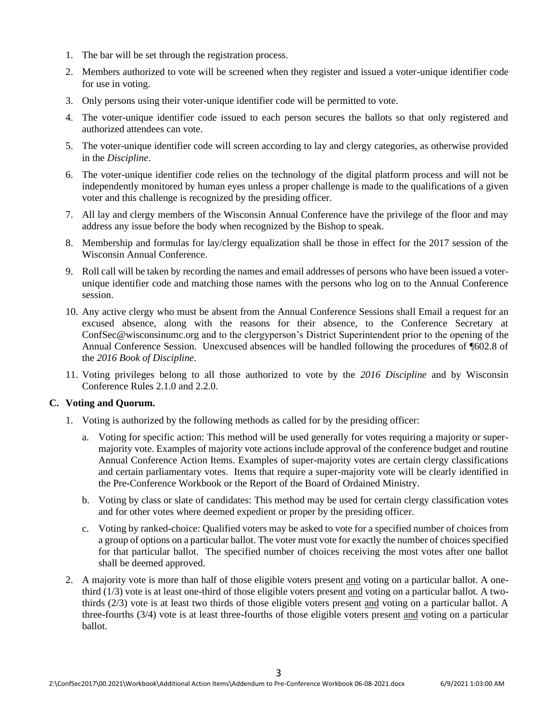- 1. The bar will be set through the registration process.
- 2. Members authorized to vote will be screened when they register and issued a voter-unique identifier code for use in voting.
- 3. Only persons using their voter-unique identifier code will be permitted to vote.
- 4. The voter-unique identifier code issued to each person secures the ballots so that only registered and authorized attendees can vote.
- 5. The voter-unique identifier code will screen according to lay and clergy categories, as otherwise provided in the *Discipline*.
- 6. The voter-unique identifier code relies on the technology of the digital platform process and will not be independently monitored by human eyes unless a proper challenge is made to the qualifications of a given voter and this challenge is recognized by the presiding officer.
- 7. All lay and clergy members of the Wisconsin Annual Conference have the privilege of the floor and may address any issue before the body when recognized by the Bishop to speak.
- 8. Membership and formulas for lay/clergy equalization shall be those in effect for the 2017 session of the Wisconsin Annual Conference.
- 9. Roll call will be taken by recording the names and email addresses of persons who have been issued a voterunique identifier code and matching those names with the persons who log on to the Annual Conference session.
- 10. Any active clergy who must be absent from the Annual Conference Sessions shall Email a request for an excused absence, along with the reasons for their absence, to the Conference Secretary at [ConfSec@wisconsinumc.org](mailto:ConfSec@wisconsinumc.org) and to the clergyperson's District Superintendent prior to the opening of the Annual Conference Session. Unexcused absences will be handled following the procedures of ¶602.8 of the *2016 Book of Discipline*.
- 11. Voting privileges belong to all those authorized to vote by the *2016 Discipline* and by Wisconsin Conference Rules 2.1.0 and 2.2.0.

#### **C. Voting and Quorum.**

- 1. Voting is authorized by the following methods as called for by the presiding officer:
	- a. Voting for specific action: This method will be used generally for votes requiring a majority or supermajority vote. Examples of majority vote actions include approval of the conference budget and routine Annual Conference Action Items. Examples of super-majority votes are certain clergy classifications and certain parliamentary votes. Items that require a super-majority vote will be clearly identified in the Pre-Conference Workbook or the Report of the Board of Ordained Ministry.
	- b. Voting by class or slate of candidates: This method may be used for certain clergy classification votes and for other votes where deemed expedient or proper by the presiding officer.
	- c. Voting by ranked-choice: Qualified voters may be asked to vote for a specified number of choices from a group of options on a particular ballot. The voter must vote for exactly the number of choices specified for that particular ballot. The specified number of choices receiving the most votes after one ballot shall be deemed approved.
- 2. A majority vote is more than half of those eligible voters present and voting on a particular ballot. A onethird (1/3) vote is at least one-third of those eligible voters present and voting on a particular ballot. A twothirds (2/3) vote is at least two thirds of those eligible voters present and voting on a particular ballot. A three-fourths (3/4) vote is at least three-fourths of those eligible voters present and voting on a particular ballot.

3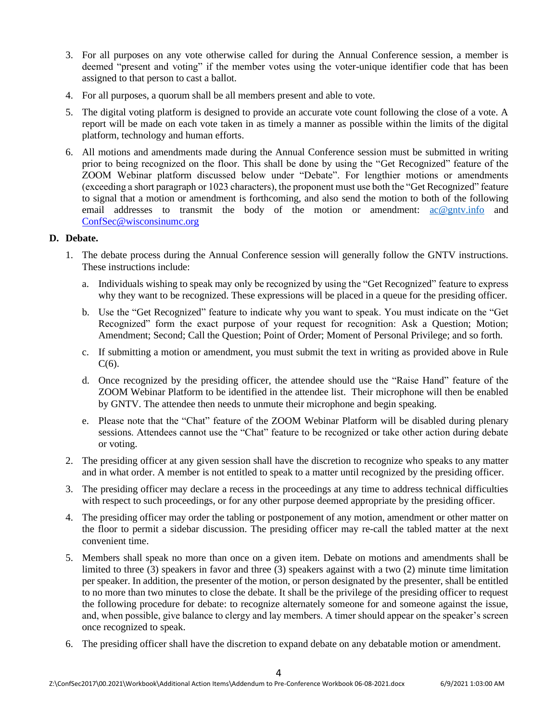- 3. For all purposes on any vote otherwise called for during the Annual Conference session, a member is deemed "present and voting" if the member votes using the voter-unique identifier code that has been assigned to that person to cast a ballot.
- 4. For all purposes, a quorum shall be all members present and able to vote.
- 5. The digital voting platform is designed to provide an accurate vote count following the close of a vote. A report will be made on each vote taken in as timely a manner as possible within the limits of the digital platform, technology and human efforts.
- 6. All motions and amendments made during the Annual Conference session must be submitted in writing prior to being recognized on the floor. This shall be done by using the "Get Recognized" feature of the ZOOM Webinar platform discussed below under "Debate". For lengthier motions or amendments (exceeding a short paragraph or 1023 characters), the proponent must use both the "Get Recognized" feature to signal that a motion or amendment is forthcoming, and also send the motion to both of the following email addresses to transmit the body of the motion or amendment: [ac@gntv.info](mailto:ac@gntv.info) and [ConfSec@wisconsinumc.org](mailto:ConfSec@wisconsinumc.org)

#### **D. Debate.**

- 1. The debate process during the Annual Conference session will generally follow the GNTV instructions. These instructions include:
	- a. Individuals wishing to speak may only be recognized by using the "Get Recognized" feature to express why they want to be recognized. These expressions will be placed in a queue for the presiding officer.
	- b. Use the "Get Recognized" feature to indicate why you want to speak. You must indicate on the "Get Recognized" form the exact purpose of your request for recognition: Ask a Question; Motion; Amendment; Second; Call the Question; Point of Order; Moment of Personal Privilege; and so forth.
	- c. If submitting a motion or amendment, you must submit the text in writing as provided above in Rule  $C(6)$ .
	- d. Once recognized by the presiding officer, the attendee should use the "Raise Hand" feature of the ZOOM Webinar Platform to be identified in the attendee list. Their microphone will then be enabled by GNTV. The attendee then needs to unmute their microphone and begin speaking.
	- e. Please note that the "Chat" feature of the ZOOM Webinar Platform will be disabled during plenary sessions. Attendees cannot use the "Chat" feature to be recognized or take other action during debate or voting.
- 2. The presiding officer at any given session shall have the discretion to recognize who speaks to any matter and in what order. A member is not entitled to speak to a matter until recognized by the presiding officer.
- 3. The presiding officer may declare a recess in the proceedings at any time to address technical difficulties with respect to such proceedings, or for any other purpose deemed appropriate by the presiding officer.
- 4. The presiding officer may order the tabling or postponement of any motion, amendment or other matter on the floor to permit a sidebar discussion. The presiding officer may re-call the tabled matter at the next convenient time.
- 5. Members shall speak no more than once on a given item. Debate on motions and amendments shall be limited to three (3) speakers in favor and three (3) speakers against with a two (2) minute time limitation per speaker. In addition, the presenter of the motion, or person designated by the presenter, shall be entitled to no more than two minutes to close the debate. It shall be the privilege of the presiding officer to request the following procedure for debate: to recognize alternately someone for and someone against the issue, and, when possible, give balance to clergy and lay members. A timer should appear on the speaker's screen once recognized to speak.
- 6. The presiding officer shall have the discretion to expand debate on any debatable motion or amendment.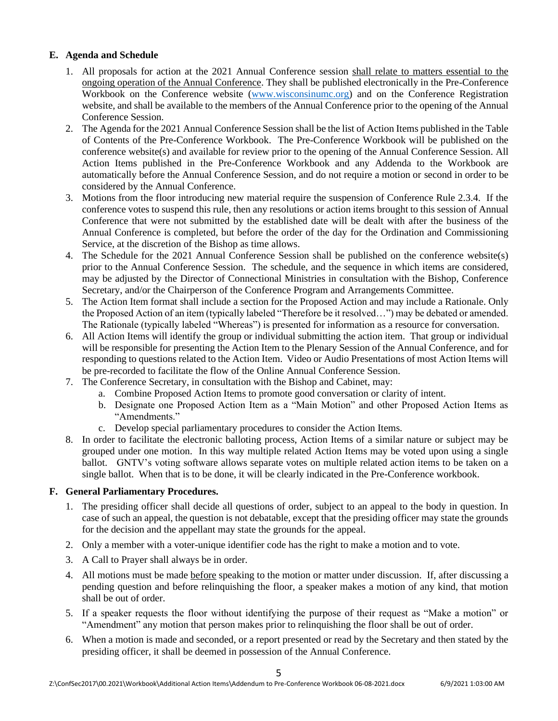# **E. Agenda and Schedule**

- 1. All proposals for action at the 2021 Annual Conference session shall relate to matters essential to the ongoing operation of the Annual Conference. They shall be published electronically in the Pre-Conference Workbook on the Conference website [\(www.wisconsinumc.org\)](http://www.wisconsinumc.org/) and on the Conference Registration website, and shall be available to the members of the Annual Conference prior to the opening of the Annual Conference Session.
- 2. The Agenda for the 2021 Annual Conference Session shall be the list of Action Items published in the Table of Contents of the Pre-Conference Workbook. The Pre-Conference Workbook will be published on the conference website(s) and available for review prior to the opening of the Annual Conference Session. All Action Items published in the Pre-Conference Workbook and any Addenda to the Workbook are automatically before the Annual Conference Session, and do not require a motion or second in order to be considered by the Annual Conference.
- 3. Motions from the floor introducing new material require the suspension of Conference Rule 2.3.4. If the conference votes to suspend this rule, then any resolutions or action items brought to this session of Annual Conference that were not submitted by the established date will be dealt with after the business of the Annual Conference is completed, but before the order of the day for the Ordination and Commissioning Service, at the discretion of the Bishop as time allows.
- 4. The Schedule for the 2021 Annual Conference Session shall be published on the conference website(s) prior to the Annual Conference Session. The schedule, and the sequence in which items are considered, may be adjusted by the Director of Connectional Ministries in consultation with the Bishop, Conference Secretary, and/or the Chairperson of the Conference Program and Arrangements Committee.
- 5. The Action Item format shall include a section for the Proposed Action and may include a Rationale. Only the Proposed Action of an item (typically labeled "Therefore be it resolved…") may be debated or amended. The Rationale (typically labeled "Whereas") is presented for information as a resource for conversation.
- 6. All Action Items will identify the group or individual submitting the action item. That group or individual will be responsible for presenting the Action Item to the Plenary Session of the Annual Conference, and for responding to questions related to the Action Item. Video or Audio Presentations of most Action Items will be pre-recorded to facilitate the flow of the Online Annual Conference Session.
- 7. The Conference Secretary, in consultation with the Bishop and Cabinet, may:
	- a. Combine Proposed Action Items to promote good conversation or clarity of intent.
	- b. Designate one Proposed Action Item as a "Main Motion" and other Proposed Action Items as "Amendments."
	- c. Develop special parliamentary procedures to consider the Action Items.
- 8. In order to facilitate the electronic balloting process, Action Items of a similar nature or subject may be grouped under one motion. In this way multiple related Action Items may be voted upon using a single ballot. GNTV's voting software allows separate votes on multiple related action items to be taken on a single ballot. When that is to be done, it will be clearly indicated in the Pre-Conference workbook.

#### **F. General Parliamentary Procedures.**

- 1. The presiding officer shall decide all questions of order, subject to an appeal to the body in question. In case of such an appeal, the question is not debatable, except that the presiding officer may state the grounds for the decision and the appellant may state the grounds for the appeal.
- 2. Only a member with a voter-unique identifier code has the right to make a motion and to vote.
- 3. A Call to Prayer shall always be in order.
- 4. All motions must be made before speaking to the motion or matter under discussion. If, after discussing a pending question and before relinquishing the floor, a speaker makes a motion of any kind, that motion shall be out of order.
- 5. If a speaker requests the floor without identifying the purpose of their request as "Make a motion" or "Amendment" any motion that person makes prior to relinquishing the floor shall be out of order.
- 6. When a motion is made and seconded, or a report presented or read by the Secretary and then stated by the presiding officer, it shall be deemed in possession of the Annual Conference.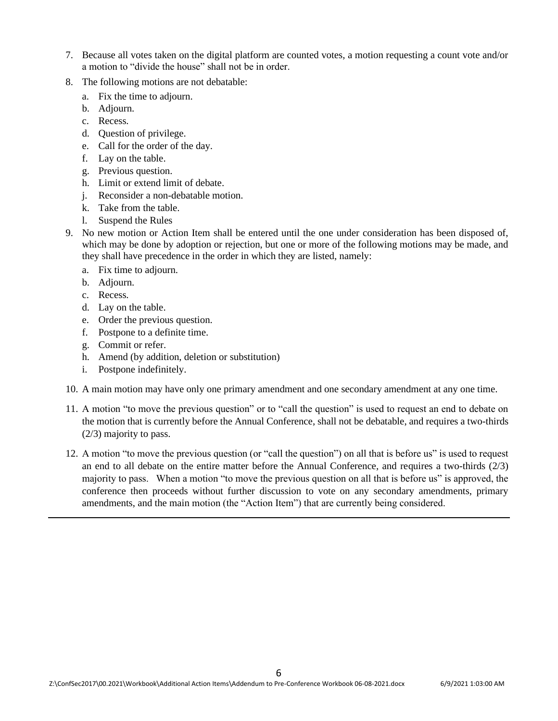- 7. Because all votes taken on the digital platform are counted votes, a motion requesting a count vote and/or a motion to "divide the house" shall not be in order.
- 8. The following motions are not debatable:
	- a. Fix the time to adjourn.
	- b. Adjourn.
	- c. Recess.
	- d. Question of privilege.
	- e. Call for the order of the day.
	- f. Lay on the table.
	- g. Previous question.
	- h. Limit or extend limit of debate.
	- j. Reconsider a non-debatable motion.
	- k. Take from the table.
	- l. Suspend the Rules
- 9. No new motion or Action Item shall be entered until the one under consideration has been disposed of, which may be done by adoption or rejection, but one or more of the following motions may be made, and they shall have precedence in the order in which they are listed, namely:
	- a. Fix time to adjourn.
	- b. Adjourn.
	- c. Recess.
	- d. Lay on the table.
	- e. Order the previous question.
	- f. Postpone to a definite time.
	- g. Commit or refer.
	- h. Amend (by addition, deletion or substitution)
	- i. Postpone indefinitely.
- 10. A main motion may have only one primary amendment and one secondary amendment at any one time.
- 11. A motion "to move the previous question" or to "call the question" is used to request an end to debate on the motion that is currently before the Annual Conference, shall not be debatable, and requires a two-thirds (2/3) majority to pass.
- 12. A motion "to move the previous question (or "call the question") on all that is before us" is used to request an end to all debate on the entire matter before the Annual Conference, and requires a two-thirds (2/3) majority to pass. When a motion "to move the previous question on all that is before us" is approved, the conference then proceeds without further discussion to vote on any secondary amendments, primary amendments, and the main motion (the "Action Item") that are currently being considered.

6